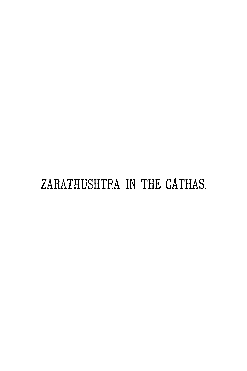# ZARATHUSHTRA IN THE GATHAS.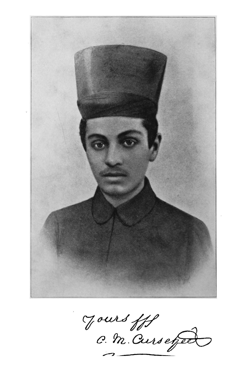

Jours fff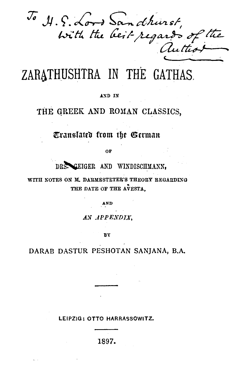To H.S. Lord Sandhurst,<br>With the beit-regards of the

ZARATHUSHTRA IN THE GATHAS.

#### AND IN

# THE GREEK AND ROMAN CLASSICS,

# Translated from the German

OF

DRS. GEIGER AND WINDISCHMANN.

WITH NOTES ON M. DARMESTETER'S THEORY REGARDING THE DATE OF THE AVESTA.

AND

AN APPENDIX.

**BY** 

DARAB DASTUR PESHOTAN SANJANA, B.A.

LEIPZIG: OTTO HARRASSOWITZ.

1897.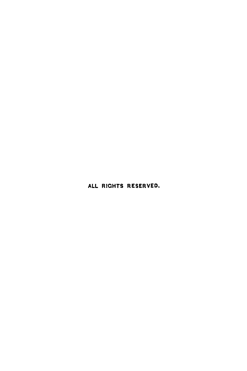ALL RICHTS RESERVED.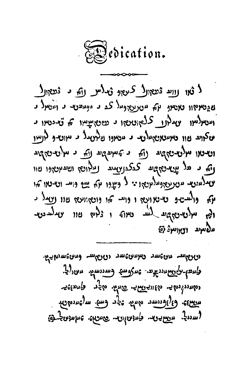

1 ثبر روايد درجه ال كريه و مدلس رام د درج ال ه و مع بالا مع موسط مع الله عليه الله عليه الله مع الله مع الله مع الله عليه مع الله عليه مع الله عل  $\mu$ ועטאלאון יצוע ללאני נאפין ו ניונדי ווי ניונדי ווי ניונדי ו יטצווע נון באינטוני ועלי נ מטיורו ניליטגל נ מיוטי ך לוניין וטיטו מלטינאקש נה ני למעקשע נה נ מלטינאקש ري و هذا بي عجهه كوكدري و الاست العد العديد الم  $\eta_{\sigma}$  (here up year)  $\eta_{\sigma}$  of  $\eta_{\sigma}$  if  $\eta_{\sigma}$  is  $\eta_{\sigma}$  if  $\eta_{\sigma}$  $\mathbf{q}$  (  $\mathbf{q}$  )  $\mathbf{q}$  (  $\mathbf{q}$  )  $\mathbf{q}$  (  $\mathbf{q}$  )  $\mathbf{q}$  (  $\mathbf{q}$  )  $\mathbf{q}$  (  $\mathbf{q}$  )  $\mathbf{q}$ ולא מלשישקש לע טאוז ו גלי שוו עמלענש mgala 1291/43

יללאוואפה מאפלאו אוויפאוואר אוויפיאוי אייליאוי בלינפל-קלימאיננדאים - שידרומאל - מתננחלי ממי ישרולומיק אלנה האחד האחר הקר ביות יישיאי האיפיישי מילי יציר היה ייקיאינימית נחיניצי משרים ההומלוס ליידי ליידי שימול המ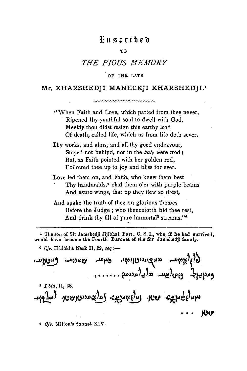## *H* n s c r í h e d

#### тo

## THE PIOUS MEMORY

#### OF THR LATE

## Mr. KHARSHEDJI MANECKJI KHARSHEDJI.<sup>1</sup>

<u>www.www.www.uu</u>

"When Faith and Love, which parted from thee never, Ripened thy youthful soul to dwell with God, Meekly thou didst resign this earthy load Of death, called life, which us from life doth sever.

Thy works, and alms, and all thy good endeavour, Stayed not behind, nor in the kate were trod; But, as Faith pointed with her golden rod. Followed thee up to joy and bliss for ever.

Love led them on, and Faith, who knew them best Thy handmaids,<sup>2</sup> clad them o'er with purple beams And azure wings, that up they flew so drest,

And spake the truth of thee on glorious themes Before the Judge; who thenceforth bid thee rest. And drink thy fill of pure immortal<sup>3</sup> streams."\*

<sup>1</sup> The son of Sir Jamshedji Jijibhai, Bart., C. S. I., who, if he had survived, would have become the Fourth Baronet of the Sir Jamshedji family.

<sup>3</sup> Cfr. Hådôkht Nask II, 22, seq :-

 $\mathcal{C}(3)$ ל $\delta$ ومربى جاج. وعون رومت زمر والمددسة . . . . . . .  $5$  I bid, II, 38.  $\mathbf{u}_1$ utaka wa naisantaka  $\mathbf{u}_2$  and  $\mathbf{u}_3$  and  $\mathbf{u}_4$ ю೮

4 Cfr. Milton's Sonnet XIV.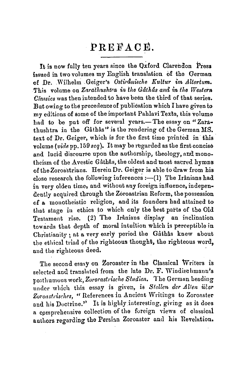# PREFACE.

It is now fully ten years since the Oxford Clarendon Press issued in two volumes my English translation of the German of Dr. Wilhelm Geiger's Ostirdnische Kultur im Altertum. This volume on Zarathushtra in the Gathas and in the Western Classics was then intended to have been the third of that series. But owing to the precedence of publication which I have given to my editions of some of the important Pahlavi Texts, this volume had to be put off for several years.-The essay on "Zarathushtra in the Gathas" is the rendering of the German MS. text of Dr. Geiger, which is for the first time printed in this volume (vide pp. 159 seq). It may be regarded as the first concise and lucid discourse upon the authorship, theology, and monotheism of the Avestic Gâthâs, the oldest and most sacred hymns of the Zoroastrians. Herein Dr. Geiger is able to draw from his close research the following inferences :- (1) The Irânians had in very olden time, and without any foreign influence, independently acquired through the Zoroastrian Reform, the possession of a monotheistic religion, and its founders had attained to that stage in ethics to which only the best parts of the Old Testament rise. (2) The Irânians display an inclination towards that depth of moral intuition which is perceptible in Christianity: at a very early period the Gâthâs knew about the ethical triad of the righteous thought, the righteous word. and the righteous deed.

The second essay on Zoroaster in the Classical Writers is selected and translated from the late Dr. F. Windischmann's posthumous work, Zororastrische Studien. The German heading under which this essay is given, is Stellen der Alten über Zoroastrisches, "References in Ancient Writings to Zoroaster and his Doctrine." It is highly interesting, giving as it does a comprehensive collection of the foreign views of classical authors regarding the Persian Zoroaster and his Revelation.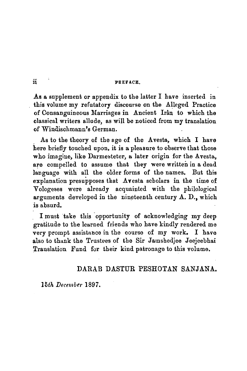#### ii PREFACE.

As a supplement or appendix to the latter I have inserted in this volume my refutatory discourse on the Alleged Practice of Consanguineous Marriages in Ancient Irân to which the classical writers allude, as will be noticed from my translation of Windischmann's German.

As to the theory of the age of the Avesta, which I have here briefly touched upon, it is a pleasure to observe that those who imagine, like Darmesteter, a later origin for the Avesta, are compelled to assume that they were written in a dead language with all the older forms of the names. But this explanation presupposes that Avesta scholars in the time of Vologeses were already acquainted with the philological arguments developed in the nineteenth century  $A$ . D., which is absurd,

I must take this opportunity of acknowledging my deep gratitude to the learned friends who have kindly rendered me very prompt assistance in the course of my work. I have also to thank the Trustees of the Sir Jamshedjee Jeejeebhai Translation Fund for their kind patronage to this volume.

### DARAB DASTUR PESHOTAN SANJANA.

*15th December* 1897.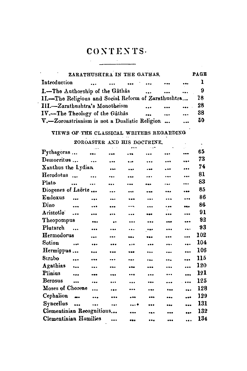# CONTENTS.  $\overline{\phantom{a}}$

|                                                     |  |  | ZARATHUSHIRA IN THE GATHAS. |                             | <b>PAGE</b> |
|-----------------------------------------------------|--|--|-----------------------------|-----------------------------|-------------|
| Introduction                                        |  |  | and the same                | <br>$\bullet\bullet\bullet$ |             |
| L.-The Authorship of the Gâthâs                     |  |  |                             | $\cdots$                    | -9          |
| II.-The Religious and Social Reform of Zarathushtra |  |  |                             |                             | 78          |
| III.-Zarathushtra's Monotheism                      |  |  | $\ddotsc$                   | $\bullet$ $\bullet$         | 28          |
| IV.--The Theology of the Gâthâs                     |  |  |                             | $\ddotsc$                   | 38          |
| V.-Zoroastrianism is not a Dualistic Religion       |  |  |                             | $\ddotsc$                   | 50          |

# VIEWS OF THE CLASSICAL WRITERS REGARDING

ZOROASTER AND HIS DOCTRINE.

 $\mathcal{A}^{\mathcal{A}}$  and  $\mathcal{A}^{\mathcal{A}}$ 

| Pythagoras                              | $\cdots$<br>$\sim$       | $\ddot{\phantom{a}}$     | $\cdots$                 | $\ddotsc$                |           | $\ddot{\phantom{a}}$      | 65  |
|-----------------------------------------|--------------------------|--------------------------|--------------------------|--------------------------|-----------|---------------------------|-----|
| Democritus                              | $\overline{\phantom{a}}$ | $\ddotsc$                | $\overline{\phantom{a}}$ | $\ddotsc$                | $\cdots$  | $\cdots$                  | 73  |
| Xanthus the Lydian                      |                          | $\overline{\phantom{a}}$ | $\ddot{\phantom{a}}$     | $\ddotsc$                | $-$       |                           | 74  |
| Herodotus                               | $\ddotsc$                |                          | $\ddot{\phantom{a}}$     |                          | $\cdots$  |                           | 81  |
| Plato<br>$\ddot{\phantom{a}}$           | $\ddotsc$                |                          |                          | $\cdots$                 | $\ddotsc$ |                           | 83  |
| Diogenes of Laerte                      |                          | $\ddot{\phantom{a}}$     |                          | $\overline{\phantom{a}}$ | $\bullet$ | 488                       | 85  |
| Eudoxus<br>$\ddotsc$                    | $\ddotsc$                |                          |                          | $\ddotsc$                |           |                           | 86  |
| Dino<br>$\ddotsc$                       | $\cdots$                 |                          |                          | $\ddot{\phantom{a}}$     | .         | • • •                     | 86  |
| Aristotle <sup>-</sup><br>$\sim$ $\sim$ | $\ddot{\phantom{0}}$     | $\ddotsc$                |                          | ---                      |           | $\overline{a}$            | 91  |
| Theopompus                              |                          | $\bullet$                | $\ddotsc$                |                          |           |                           | 92  |
| Plutarch                                | $\ddotsc$                | $\ddotsc$                |                          | $-0.0$                   | $\ddotsc$ |                           | 93  |
| Hermodorus                              |                          |                          | $\ddot{\bullet}$         | $\bullet$                |           | $\ddotsc$                 | 102 |
| Sotion<br>$\ddotsc$                     | $\ddotsc$                |                          | $\cdots$                 | $\cdots$                 | $\ddotsc$ | $\ddotsc$                 | 104 |
| Hermippus                               | ---                      | $\ddotsc$                | ---                      | $\ddot{\phantom{a}}$     |           | $\overline{\phantom{a}}$  | 106 |
| Strabo<br>$\ddotsc$                     | $\ddotsc$                |                          | $\overline{\phantom{a}}$ |                          |           | $\cdots$                  | 115 |
| Agathias<br>$\sim$                      |                          |                          |                          | $\ddotsc$                |           | $\ddotsc$                 | 120 |
| Plinius<br>$\ddotsc$                    | ---                      | $\ddotsc$                |                          |                          |           | $\ddotsc$                 | 121 |
| <b>Berosus</b><br>$\ddotsc$             | $\ddot{\phantom{a}}$     | $\cdots$                 |                          |                          |           | $\ddotsc$                 | 125 |
| Moses of Chorene                        | $\ddotsc$                | $\cdots$                 |                          |                          |           | $\ddotsc$                 | 128 |
| Cephalion                               | $\sim$                   | $\cdots$                 | $\ddotsc$                |                          |           | $\ddot{\phantom{a}}$      | 129 |
| Syncellus                               | $\ddotsc$                | $\cdots$                 |                          |                          | $\bullet$ |                           | 131 |
| Clementinian Recognitions               |                          |                          | $\cdots$                 | $\ddot{\phantom{a}}$     |           | $\bullet \bullet \bullet$ | 132 |
| Clementinian Homilies                   |                          | $\ddotsc$                | $\bullet\bullet\bullet$  |                          |           |                           | 134 |
|                                         |                          |                          |                          |                          |           |                           |     |